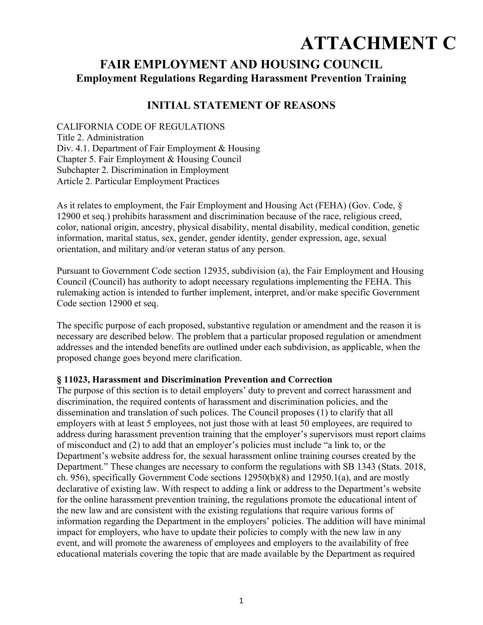# **ATTACHMENT C**

# **FAIR EMPLOYMENT AND HOUSING COUNCIL Employment Regulations Regarding Harassment Prevention Training**

# **INITIAL STATEMENT OF REASONS**

CALIFORNIA CODE OF REGULATIONS Title 2. Administration Div. 4.1. Department of Fair Employment & Housing Chapter 5. Fair Employment & Housing Council Subchapter 2. Discrimination in Employment Article 2. Particular Employment Practices

As it relates to employment, the Fair Employment and Housing Act (FEHA) (Gov. Code, § 12900 et seq.) prohibits harassment and discrimination because of the race, religious creed, color, national origin, ancestry, physical disability, mental disability, medical condition, genetic information, marital status, sex, gender, gender identity, gender expression, age, sexual orientation, and military and/or veteran status of any person.

Pursuant to Government Code section 12935, subdivision (a), the Fair Employment and Housing Council (Council) has authority to adopt necessary regulations implementing the FEHA. This rulemaking action is intended to further implement, interpret, and/or make specific Government Code section 12900 et seq.

The specific purpose of each proposed, substantive regulation or amendment and the reason it is necessary are described below. The problem that a particular proposed regulation or amendment addresses and the intended benefits are outlined under each subdivision, as applicable, when the proposed change goes beyond mere clarification.

# **§ 11023, Harassment and Discrimination Prevention and Correction**

The purpose of this section is to detail employers' duty to prevent and correct harassment and discrimination, the required contents of harassment and discrimination policies, and the dissemination and translation of such polices. The Council proposes (1) to clarify that all employers with at least 5 employees, not just those with at least 50 employees, are required to address during harassment prevention training that the employer's supervisors must report claims of misconduct and (2) to add that an employer's policies must include "a link to, or the Department's website address for, the sexual harassment online training courses created by the Department." These changes are necessary to conform the regulations with SB 1343 (Stats. 2018, ch. 956), specifically Government Code sections 12950(b)(8) and 12950.1(a), and are mostly declarative of existing law. With respect to adding a link or address to the Department's website for the online harassment prevention training, the regulations promote the educational intent of the new law and are consistent with the existing regulations that require various forms of information regarding the Department in the employers' policies. The addition will have minimal impact for employers, who have to update their policies to comply with the new law in any event, and will promote the awareness of employees and employers to the availability of free educational materials covering the topic that are made available by the Department as required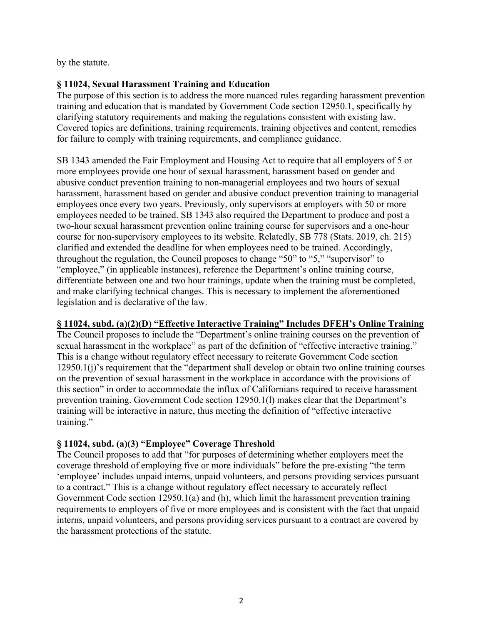by the statute.

# **§ 11024, Sexual Harassment Training and Education**

The purpose of this section is to address the more nuanced rules regarding harassment prevention training and education that is mandated by Government Code section 12950.1, specifically by clarifying statutory requirements and making the regulations consistent with existing law. Covered topics are definitions, training requirements, training objectives and content, remedies for failure to comply with training requirements, and compliance guidance.

SB 1343 amended the Fair Employment and Housing Act to require that all employers of 5 or more employees provide one hour of sexual harassment, harassment based on gender and abusive conduct prevention training to non-managerial employees and two hours of sexual harassment, harassment based on gender and abusive conduct prevention training to managerial employees once every two years. Previously, only supervisors at employers with 50 or more employees needed to be trained. SB 1343 also required the Department to produce and post a two-hour sexual harassment prevention online training course for supervisors and a one-hour course for non-supervisory employees to its website. Relatedly, SB 778 (Stats. 2019, ch. 215) clarified and extended the deadline for when employees need to be trained. Accordingly, throughout the regulation, the Council proposes to change "50" to "5," "supervisor" to "employee," (in applicable instances), reference the Department's online training course, differentiate between one and two hour trainings, update when the training must be completed, and make clarifying technical changes. This is necessary to implement the aforementioned legislation and is declarative of the law.

# **§ 11024, subd. (a)(2)(D) "Effective Interactive Training" Includes DFEH's Online Training**

The Council proposes to include the "Department's online training courses on the prevention of sexual harassment in the workplace" as part of the definition of "effective interactive training." This is a change without regulatory effect necessary to reiterate Government Code section 12950.1(j)'s requirement that the "department shall develop or obtain two online training courses on the prevention of sexual harassment in the workplace in accordance with the provisions of this section" in order to accommodate the influx of Californians required to receive harassment prevention training. Government Code section 12950.1(l) makes clear that the Department's training will be interactive in nature, thus meeting the definition of "effective interactive training."

# **§ 11024, subd. (a)(3) "Employee" Coverage Threshold**

The Council proposes to add that "for purposes of determining whether employers meet the coverage threshold of employing five or more individuals" before the pre-existing "the term 'employee' includes unpaid interns, unpaid volunteers, and persons providing services pursuant to a contract." This is a change without regulatory effect necessary to accurately reflect Government Code section 12950.1(a) and (h), which limit the harassment prevention training requirements to employers of five or more employees and is consistent with the fact that unpaid interns, unpaid volunteers, and persons providing services pursuant to a contract are covered by the harassment protections of the statute.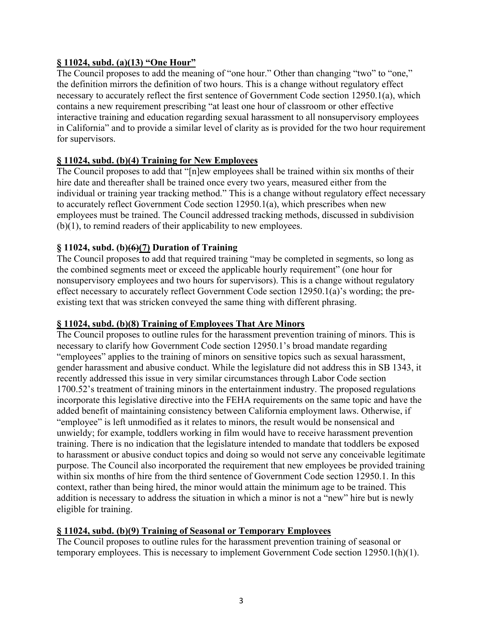# **§ 11024, subd. (a)(13) "One Hour"**

The Council proposes to add the meaning of "one hour." Other than changing "two" to "one," the definition mirrors the definition of two hours. This is a change without regulatory effect necessary to accurately reflect the first sentence of Government Code section 12950.1(a), which contains a new requirement prescribing "at least one hour of classroom or other effective interactive training and education regarding sexual harassment to all nonsupervisory employees in California" and to provide a similar level of clarity as is provided for the two hour requirement for supervisors.

#### **§ 11024, subd. (b)(4) Training for New Employees**

The Council proposes to add that "[n]ew employees shall be trained within six months of their hire date and thereafter shall be trained once every two years, measured either from the individual or training year tracking method." This is a change without regulatory effect necessary to accurately reflect Government Code section 12950.1(a), which prescribes when new employees must be trained. The Council addressed tracking methods, discussed in subdivision (b)(1), to remind readers of their applicability to new employees.

# **§ 11024, subd. (b)(6)(7) Duration of Training**

The Council proposes to add that required training "may be completed in segments, so long as the combined segments meet or exceed the applicable hourly requirement" (one hour for nonsupervisory employees and two hours for supervisors). This is a change without regulatory effect necessary to accurately reflect Government Code section 12950.1(a)'s wording; the preexisting text that was stricken conveyed the same thing with different phrasing.

#### **§ 11024, subd. (b)(8) Training of Employees That Are Minors**

The Council proposes to outline rules for the harassment prevention training of minors. This is necessary to clarify how Government Code section 12950.1's broad mandate regarding "employees" applies to the training of minors on sensitive topics such as sexual harassment, gender harassment and abusive conduct. While the legislature did not address this in SB 1343, it recently addressed this issue in very similar circumstances through Labor Code section 1700.52's treatment of training minors in the entertainment industry. The proposed regulations incorporate this legislative directive into the FEHA requirements on the same topic and have the added benefit of maintaining consistency between California employment laws. Otherwise, if "employee" is left unmodified as it relates to minors, the result would be nonsensical and unwieldy; for example, toddlers working in film would have to receive harassment prevention training. There is no indication that the legislature intended to mandate that toddlers be exposed to harassment or abusive conduct topics and doing so would not serve any conceivable legitimate purpose. The Council also incorporated the requirement that new employees be provided training within six months of hire from the third sentence of Government Code section 12950.1. In this context, rather than being hired, the minor would attain the minimum age to be trained. This addition is necessary to address the situation in which a minor is not a "new" hire but is newly eligible for training.

# **§ 11024, subd. (b)(9) Training of Seasonal or Temporary Employees**

The Council proposes to outline rules for the harassment prevention training of seasonal or temporary employees. This is necessary to implement Government Code section 12950.1(h)(1).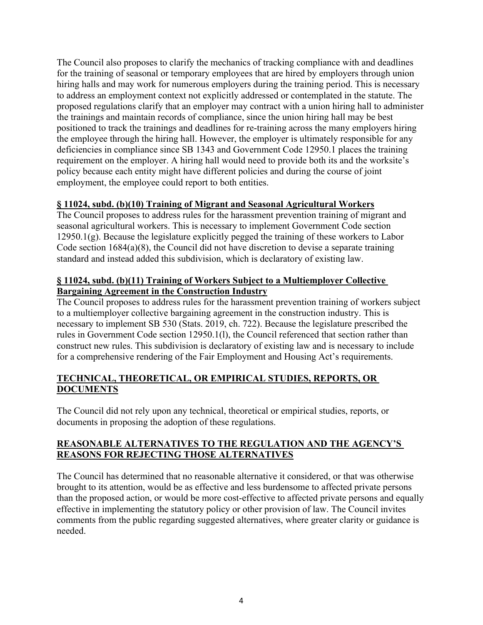The Council also proposes to clarify the mechanics of tracking compliance with and deadlines for the training of seasonal or temporary employees that are hired by employers through union hiring halls and may work for numerous employers during the training period. This is necessary to address an employment context not explicitly addressed or contemplated in the statute. The proposed regulations clarify that an employer may contract with a union hiring hall to administer the trainings and maintain records of compliance, since the union hiring hall may be best positioned to track the trainings and deadlines for re-training across the many employers hiring the employee through the hiring hall. However, the employer is ultimately responsible for any deficiencies in compliance since SB 1343 and Government Code 12950.1 places the training requirement on the employer. A hiring hall would need to provide both its and the worksite's policy because each entity might have different policies and during the course of joint employment, the employee could report to both entities.

# **§ 11024, subd. (b)(10) Training of Migrant and Seasonal Agricultural Workers**

The Council proposes to address rules for the harassment prevention training of migrant and seasonal agricultural workers. This is necessary to implement Government Code section  $12950.1(g)$ . Because the legislature explicitly pegged the training of these workers to Labor Code section 1684(a)(8), the Council did not have discretion to devise a separate training standard and instead added this subdivision, which is declaratory of existing law.

# **§ 11024, subd. (b)(11) Training of Workers Subject to a Multiemployer Collective Bargaining Agreement in the Construction Industry**

The Council proposes to address rules for the harassment prevention training of workers subject to a multiemployer collective bargaining agreement in the construction industry. This is necessary to implement SB 530 (Stats. 2019, ch. 722). Because the legislature prescribed the rules in Government Code section 12950.1(l), the Council referenced that section rather than construct new rules. This subdivision is declaratory of existing law and is necessary to include for a comprehensive rendering of the Fair Employment and Housing Act's requirements.

# **TECHNICAL, THEORETICAL, OR EMPIRICAL STUDIES, REPORTS, OR DOCUMENTS**

The Council did not rely upon any technical, theoretical or empirical studies, reports, or documents in proposing the adoption of these regulations.

# **REASONABLE ALTERNATIVES TO THE REGULATION AND THE AGENCY'S REASONS FOR REJECTING THOSE ALTERNATIVES**

The Council has determined that no reasonable alternative it considered, or that was otherwise brought to its attention, would be as effective and less burdensome to affected private persons than the proposed action, or would be more cost-effective to affected private persons and equally effective in implementing the statutory policy or other provision of law. The Council invites comments from the public regarding suggested alternatives, where greater clarity or guidance is needed.